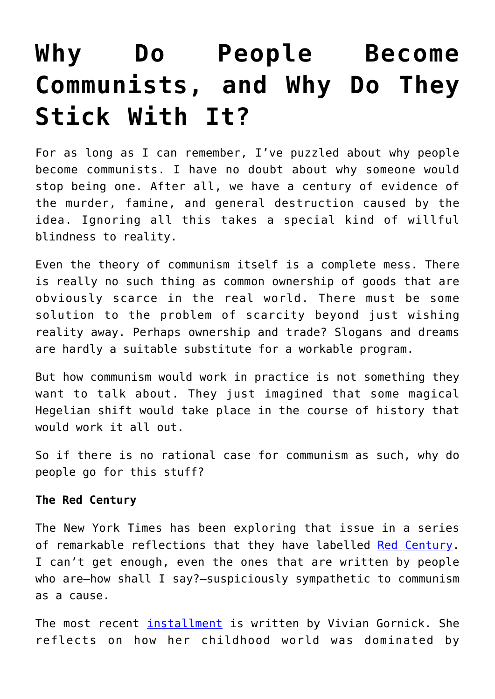# **[Why Do People Become](https://intellectualtakeout.org/2017/05/why-do-people-become-communists-and-why-do-they-stick-with-it/) [Communists, and Why Do They](https://intellectualtakeout.org/2017/05/why-do-people-become-communists-and-why-do-they-stick-with-it/) [Stick With It?](https://intellectualtakeout.org/2017/05/why-do-people-become-communists-and-why-do-they-stick-with-it/)**

For as long as I can remember, I've puzzled about why people become communists. I have no doubt about why someone would stop being one. After all, we have a century of evidence of the murder, famine, and general destruction caused by the idea. Ignoring all this takes a special kind of willful blindness to reality.

Even the theory of communism itself is a complete mess. There is really no such thing as common ownership of goods that are obviously scarce in the real world. There must be some solution to the problem of scarcity beyond just wishing reality away. Perhaps ownership and trade? Slogans and dreams are hardly a suitable substitute for a workable program.

But how communism would work in practice is not something they want to talk about. They just imagined that some magical Hegelian shift would take place in the course of history that would work it all out.

So if there is no rational case for communism as such, why do people go for this stuff?

### **The Red Century**

The New York Times has been exploring that issue in a series of remarkable reflections that they have labelled [Red Century.](https://www.nytimes.com/column/red-century?action=click&contentCollection=Opinion&module=ExtendedByline®ion=Header&pgtype=article) I can't get enough, even the ones that are written by people who are-how shall I say?-suspiciously sympathetic to communism as a cause.

The most recent [installment](https://www.nytimes.com/2017/04/29/opinion/sunday/when-communism-inspired-americans.html) is written by Vivian Gornick. She reflects on how her childhood world was dominated by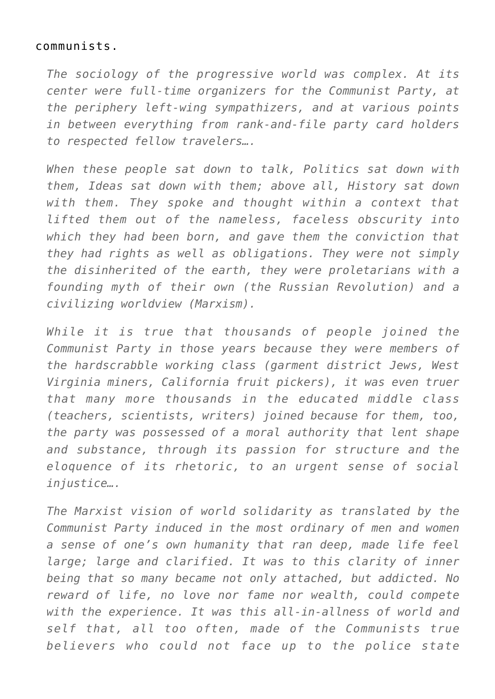#### communists.

*The sociology of the progressive world was complex. At its center were full-time organizers for the Communist Party, at the periphery left-wing sympathizers, and at various points in between everything from rank-and-file party card holders to respected fellow travelers….*

*When these people sat down to talk, Politics sat down with them, Ideas sat down with them; above all, History sat down with them. They spoke and thought within a context that lifted them out of the nameless, faceless obscurity into which they had been born, and gave them the conviction that they had rights as well as obligations. They were not simply the disinherited of the earth, they were proletarians with a founding myth of their own (the Russian Revolution) and a civilizing worldview (Marxism).*

*While it is true that thousands of people joined the Communist Party in those years because they were members of the hardscrabble working class (garment district Jews, West Virginia miners, California fruit pickers), it was even truer that many more thousands in the educated middle class (teachers, scientists, writers) joined because for them, too, the party was possessed of a moral authority that lent shape and substance, through its passion for structure and the eloquence of its rhetoric, to an urgent sense of social injustice….*

*The Marxist vision of world solidarity as translated by the Communist Party induced in the most ordinary of men and women a sense of one's own humanity that ran deep, made life feel large; large and clarified. It was to this clarity of inner being that so many became not only attached, but addicted. No reward of life, no love nor fame nor wealth, could compete with the experience. It was this all-in-allness of world and self that, all too often, made of the Communists true believers who could not face up to the police state*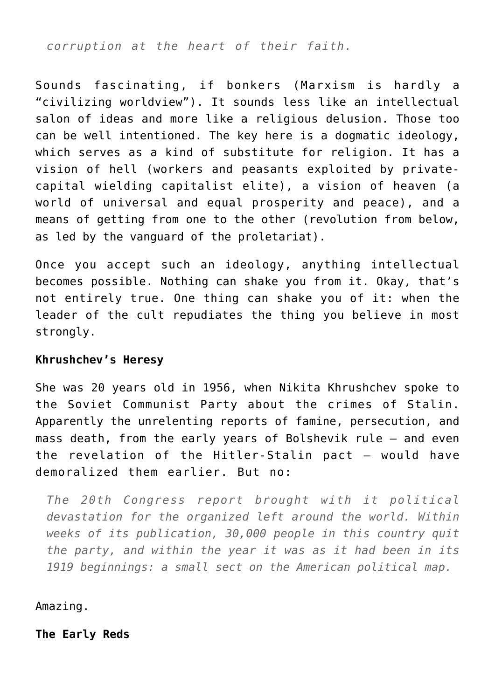*corruption at the heart of their faith.*

Sounds fascinating, if bonkers (Marxism is hardly a "civilizing worldview"). It sounds less like an intellectual salon of ideas and more like a religious delusion. Those too can be well intentioned. The key here is a dogmatic ideology, which serves as a kind of substitute for religion. It has a vision of hell (workers and peasants exploited by privatecapital wielding capitalist elite), a vision of heaven (a world of universal and equal prosperity and peace), and a means of getting from one to the other (revolution from below, as led by the vanguard of the proletariat).

Once you accept such an ideology, anything intellectual becomes possible. Nothing can shake you from it. Okay, that's not entirely true. One thing can shake you of it: when the leader of the cult repudiates the thing you believe in most strongly.

## **Khrushchev's Heresy**

She was 20 years old in 1956, when Nikita Khrushchev spoke to the Soviet Communist Party about the crimes of Stalin. Apparently the unrelenting reports of famine, persecution, and mass death, from the early years of Bolshevik rule – and even the revelation of the Hitler-Stalin pact – would have demoralized them earlier. But no:

*The 20th Congress report brought with it political devastation for the organized left around the world. Within weeks of its publication, 30,000 people in this country quit the party, and within the year it was as it had been in its 1919 beginnings: a small sect on the American political map.*

Amazing.

**The Early Reds**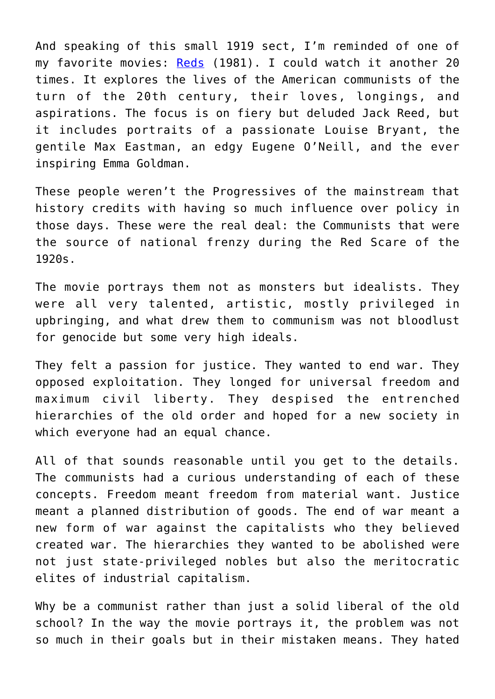And speaking of this small 1919 sect, I'm reminded of one of my favorite movies: [Reds](http://www.imdb.com/title/tt0082979/fullcredits?ref_=tt_ov_st_sm) (1981). I could watch it another 20 times. It explores the lives of the American communists of the turn of the 20th century, their loves, longings, and aspirations. The focus is on fiery but deluded Jack Reed, but it includes portraits of a passionate Louise Bryant, the gentile Max Eastman, an edgy Eugene O'Neill, and the ever inspiring Emma Goldman.

These people weren't the Progressives of the mainstream that history credits with having so much influence over policy in those days. These were the real deal: the Communists that were the source of national frenzy during the Red Scare of the 1920s.

The movie portrays them not as monsters but idealists. They were all very talented, artistic, mostly privileged in upbringing, and what drew them to communism was not bloodlust for genocide but some very high ideals.

They felt a passion for justice. They wanted to end war. They opposed exploitation. They longed for universal freedom and maximum civil liberty. They despised the entrenched hierarchies of the old order and hoped for a new society in which everyone had an equal chance.

All of that sounds reasonable until you get to the details. The communists had a curious understanding of each of these concepts. Freedom meant freedom from material want. Justice meant a planned distribution of goods. The end of war meant a new form of war against the capitalists who they believed created war. The hierarchies they wanted to be abolished were not just state-privileged nobles but also the meritocratic elites of industrial capitalism.

Why be a communist rather than just a solid liberal of the old school? In the way the movie portrays it, the problem was not so much in their goals but in their mistaken means. They hated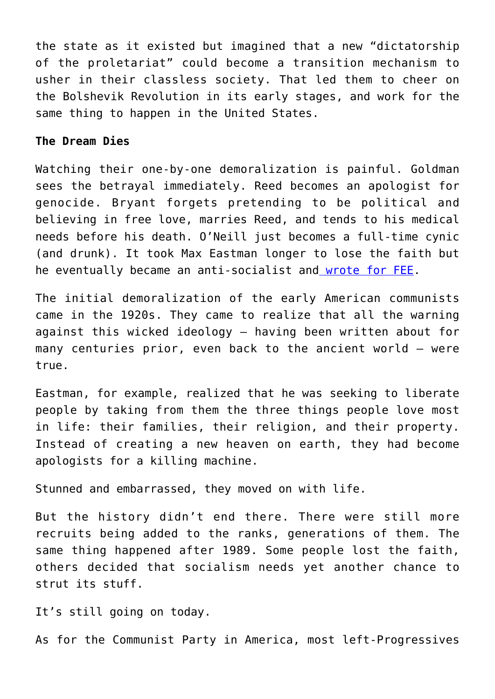the state as it existed but imagined that a new "dictatorship of the proletariat" could become a transition mechanism to usher in their classless society. That led them to cheer on the Bolshevik Revolution in its early stages, and work for the same thing to happen in the United States.

#### **The Dream Dies**

Watching their one-by-one demoralization is painful. Goldman sees the betrayal immediately. Reed becomes an apologist for genocide. Bryant forgets pretending to be political and believing in free love, marries Reed, and tends to his medical needs before his death. O'Neill just becomes a full-time cynic (and drunk). It took Max Eastman longer to lose the faith but he eventually became an anti-socialist and [wrote for FEE.](https://fee.org/people/max-eastman/)

The initial demoralization of the early American communists came in the 1920s. They came to realize that all the warning against this wicked ideology – having been written about for many centuries prior, even back to the ancient world – were true.

Eastman, for example, realized that he was seeking to liberate people by taking from them the three things people love most in life: their families, their religion, and their property. Instead of creating a new heaven on earth, they had become apologists for a killing machine.

Stunned and embarrassed, they moved on with life.

But the history didn't end there. There were still more recruits being added to the ranks, generations of them. The same thing happened after 1989. Some people lost the faith, others decided that socialism needs yet another chance to strut its stuff.

It's still going on today.

As for the Communist Party in America, most left-Progressives